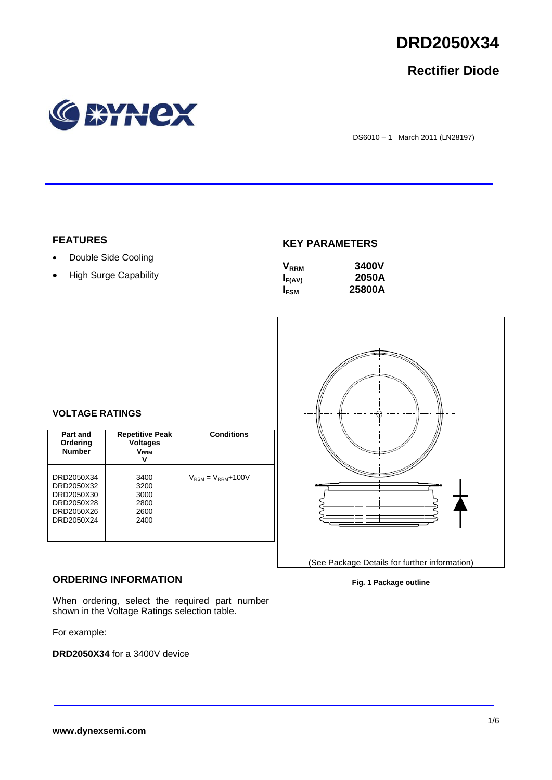

# **Rectifier Diode**



DS6010 – 1 March 2011 (LN28197)

## **FEATURES**

- Double Side Cooling
- High Surge Capability

## **KEY PARAMETERS**

| $\mathsf{V}_{\mathsf{R}\mathsf{R}\mathsf{M}}$ | 3400V  |
|-----------------------------------------------|--------|
| $I_{F(AV)}$                                   | 2050A  |
| <b>I</b> <sub>FSM</sub>                       | 25800A |



# **VOLTAGE RATINGS**

| Part and<br>Ordering<br><b>Number</b>                                            | <b>Repetitive Peak</b><br><b>Voltages</b><br>$\mathsf{V}_\mathsf{RRM}$<br>v | <b>Conditions</b>                        |
|----------------------------------------------------------------------------------|-----------------------------------------------------------------------------|------------------------------------------|
| DRD2050X34<br>DRD2050X32<br>DRD2050X30<br>DRD2050X28<br>DRD2050X26<br>DRD2050X24 | 3400<br>3200<br>3000<br>2800<br>2600<br>2400                                | $V_{\text{RSM}} = V_{\text{RRM}} + 100V$ |

## **ORDERING INFORMATION**

When ordering, select the required part number shown in the Voltage Ratings selection table.

For example:

**DRD2050X34** for a 3400V device

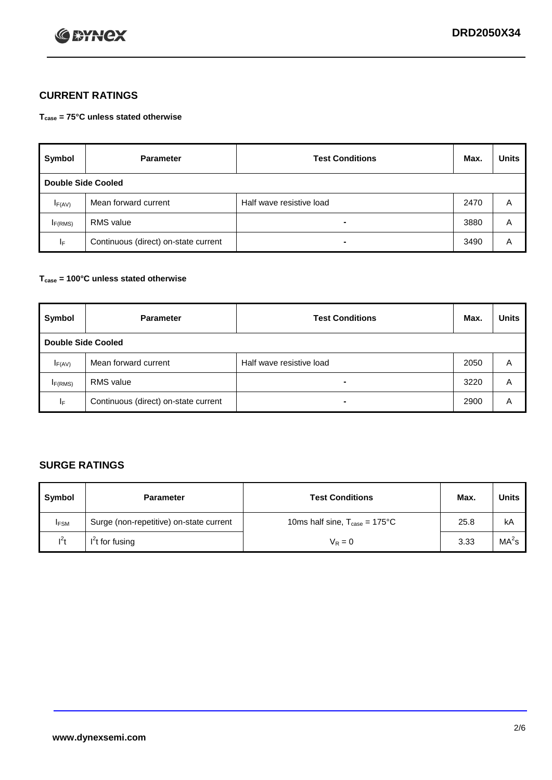

# **CURRENT RATINGS**

**Tcase = 75°C unless stated otherwise**

| Symbol              | <b>Parameter</b>                     | <b>Test Conditions</b>   | Max. | <b>Units</b> |  |  |
|---------------------|--------------------------------------|--------------------------|------|--------------|--|--|
|                     | Double Side Cooled                   |                          |      |              |  |  |
| $I_{F(AV)}$         | Mean forward current                 | Half wave resistive load | 2470 | A            |  |  |
| I <sub>F(RMS)</sub> | <b>RMS</b> value                     | -                        | 3880 | Α            |  |  |
| IF.                 | Continuous (direct) on-state current | -                        | 3490 | Α            |  |  |

#### **Tcase = 100°C unless stated otherwise**

| Symbol              | <b>Parameter</b>                     | <b>Test Conditions</b>   | Max. | <b>Units</b> |  |  |
|---------------------|--------------------------------------|--------------------------|------|--------------|--|--|
|                     | <b>Double Side Cooled</b>            |                          |      |              |  |  |
| $I_{F(AV)}$         | Mean forward current                 | Half wave resistive load | 2050 | Α            |  |  |
| I <sub>F(RMS)</sub> | <b>RMS</b> value                     | $\overline{\phantom{0}}$ | 3220 | A            |  |  |
| IF                  | Continuous (direct) on-state current | ۰                        | 2900 | A            |  |  |

# **SURGE RATINGS**

| Symbol      | <b>Parameter</b>                        | <b>Test Conditions</b>                            | Max. | <b>Units</b>      |
|-------------|-----------------------------------------|---------------------------------------------------|------|-------------------|
| <b>IFSM</b> | Surge (non-repetitive) on-state current | 10ms half sine, $T_{\text{case}} = 175^{\circ}$ C | 25.8 | kA                |
| $l^2t$      | I <sup>'</sup> t for fusing             | $V_R = 0$                                         | 3.33 | MA <sup>2</sup> s |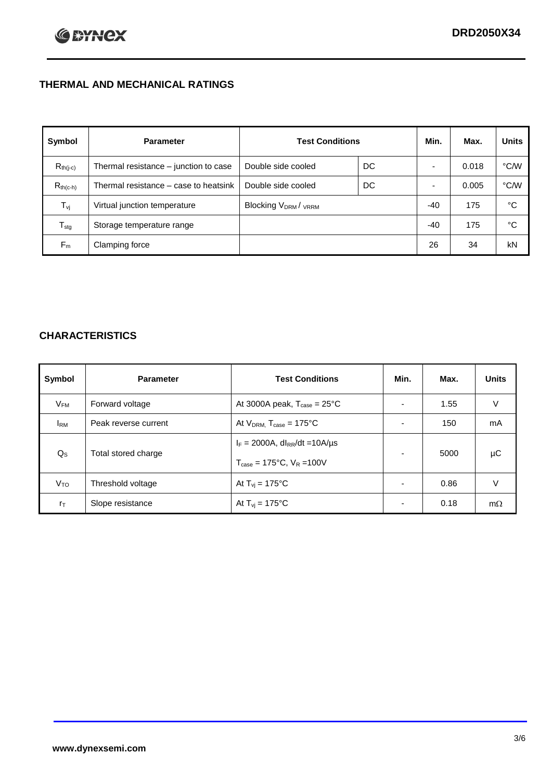# **THERMAL AND MECHANICAL RATINGS**

| Symbol           | <b>Parameter</b>                      | <b>Test Conditions</b>                      |    | Min.  | Max.  | <b>Units</b> |
|------------------|---------------------------------------|---------------------------------------------|----|-------|-------|--------------|
| $R_{th(j-c)}$    | Thermal resistance - junction to case | Double side cooled                          | DC |       | 0.018 | °C/W         |
| $R_{th(c-h)}$    | Thermal resistance – case to heatsink | Double side cooled                          | DC |       | 0.005 | °C/W         |
| $T_{\rm vj}$     | Virtual junction temperature          | Blocking V <sub>DRM</sub> / <sub>VRRM</sub> |    | $-40$ | 175   | °C           |
| $T_{\text{stg}}$ | Storage temperature range             |                                             |    | $-40$ | 175   | °C           |
| $F_m$            | Clamping force                        |                                             |    | 26    | 34    | kN           |

# **CHARACTERISTICS**

| Symbol                   | <b>Parameter</b>     | <b>Test Conditions</b>                                                                           | Min.           | Max. | <b>Units</b> |
|--------------------------|----------------------|--------------------------------------------------------------------------------------------------|----------------|------|--------------|
| $\mathsf{V}_\mathsf{FM}$ | Forward voltage      | At 3000A peak, $T_{\text{case}} = 25^{\circ}C$                                                   |                | 1.55 | V            |
| <b>I</b> <sub>RM</sub>   | Peak reverse current | At $V_{DRM}$ , $T_{case} = 175^{\circ}C$                                                         | ۰              | 150  | mA           |
| $Q_{\rm S}$              | Total stored charge  | $I_F = 2000A$ , dl <sub>RR</sub> /dt = 10A/us<br>$T_{\text{case}} = 175^{\circ}C$ , $V_R = 100V$ | ۰              | 5000 | μC           |
| V <sub>TO</sub>          | Threshold voltage    | At $T_{vi} = 175^{\circ}C$                                                                       | $\blacksquare$ | 0.86 | V            |
| $r_{\text{T}}$           | Slope resistance     | At $T_{vi} = 175^{\circ}C$                                                                       | $\blacksquare$ | 0.18 | $m\Omega$    |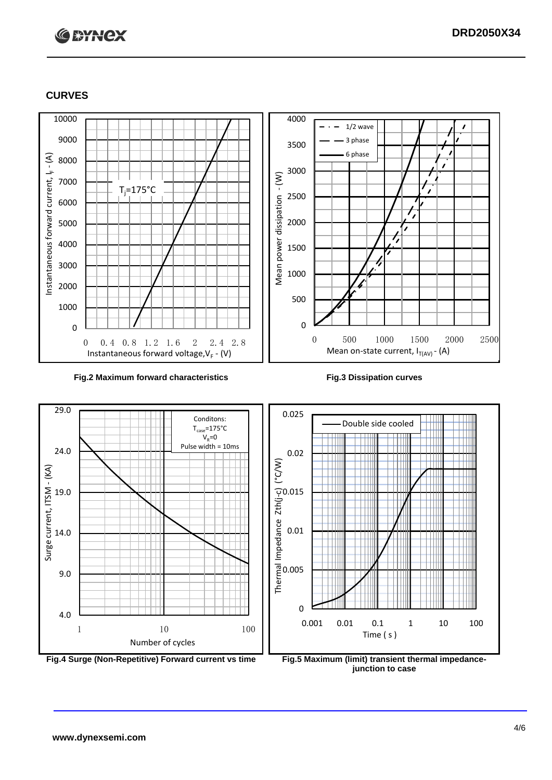

#### **CURVES**



#### **Fig.2 Maximum forward characteristics Fig.3 Dissipation curves**



**junction to case**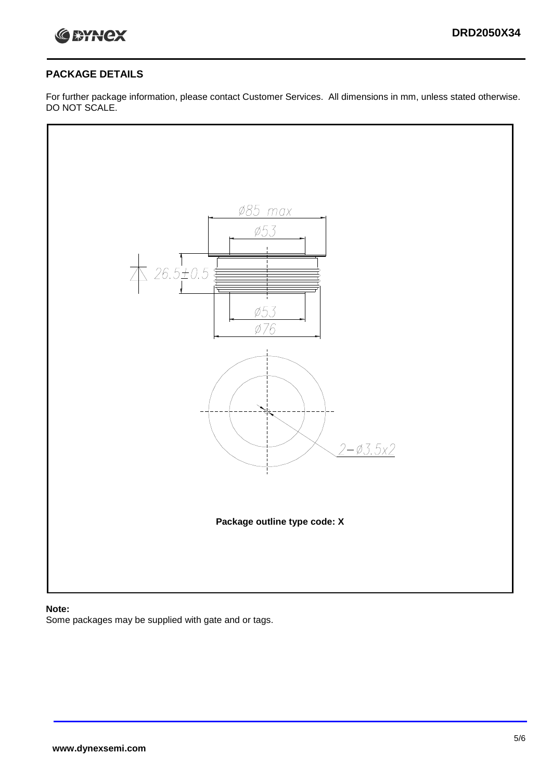

## **PACKAGE DETAILS**

For further package information, please contact Customer Services. All dimensions in mm, unless stated otherwise. DO NOT SCALE.



## **Note:**

Some packages may be supplied with gate and or tags.